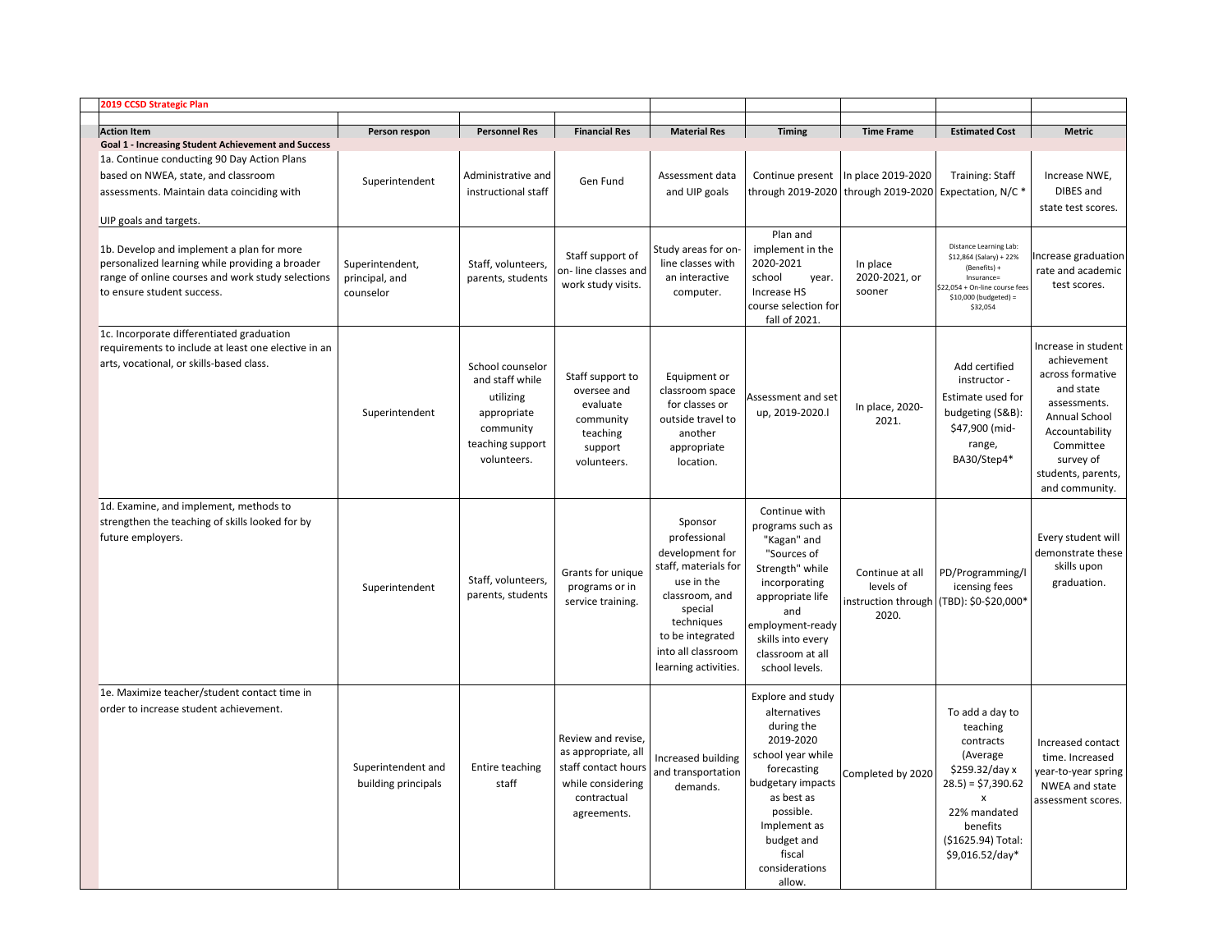|  | 2019 CCSD Strategic Plan                                                                                                                                                        |                                                |                                                                                                                 |                                                                                                                     |                                                                                                                                                                                               |                                                                                                                                                                                                                      |                                                                                                     |                                                                                                                                                                           |                                                                                                                                                                                                 |
|--|---------------------------------------------------------------------------------------------------------------------------------------------------------------------------------|------------------------------------------------|-----------------------------------------------------------------------------------------------------------------|---------------------------------------------------------------------------------------------------------------------|-----------------------------------------------------------------------------------------------------------------------------------------------------------------------------------------------|----------------------------------------------------------------------------------------------------------------------------------------------------------------------------------------------------------------------|-----------------------------------------------------------------------------------------------------|---------------------------------------------------------------------------------------------------------------------------------------------------------------------------|-------------------------------------------------------------------------------------------------------------------------------------------------------------------------------------------------|
|  | <b>Action Item</b><br><b>Goal 1 - Increasing Student Achievement and Success</b>                                                                                                | Person respon                                  | <b>Personnel Res</b>                                                                                            | <b>Financial Res</b>                                                                                                | <b>Material Res</b>                                                                                                                                                                           | <b>Timing</b>                                                                                                                                                                                                        | <b>Time Frame</b>                                                                                   | <b>Estimated Cost</b>                                                                                                                                                     | <b>Metric</b>                                                                                                                                                                                   |
|  | 1a. Continue conducting 90 Day Action Plans<br>based on NWEA, state, and classroom<br>assessments. Maintain data coinciding with<br>UIP goals and targets.                      | Superintendent                                 | Administrative and<br>instructional staff                                                                       | Gen Fund                                                                                                            | Assessment data<br>and UIP goals                                                                                                                                                              |                                                                                                                                                                                                                      | Continue present   In place 2019-2020<br>through 2019-2020   through 2019-2020   Expectation, N/C * | <b>Training: Staff</b>                                                                                                                                                    | Increase NWE,<br>DIBES and<br>state test scores.                                                                                                                                                |
|  | 1b. Develop and implement a plan for more<br>personalized learning while providing a broader<br>range of online courses and work study selections<br>to ensure student success. | Superintendent,<br>principal, and<br>counselor | Staff, volunteers,<br>parents, students                                                                         | Staff support of<br>on-line classes and<br>work study visits.                                                       | Study areas for on-<br>line classes with<br>an interactive<br>computer.                                                                                                                       | Plan and<br>implement in the<br>2020-2021<br>school<br>year.<br>Increase HS<br>course selection for<br>fall of 2021.                                                                                                 | In place<br>2020-2021, or<br>sooner                                                                 | Distance Learning Lab:<br>\$12,864 (Salary) + 22%<br>(Benefits) +<br>Insurance=<br>\$22,054 + On-line course fees<br>\$10,000 (budgeted) =<br>\$32,054                    | Increase graduation<br>rate and academic<br>test scores.                                                                                                                                        |
|  | 1c. Incorporate differentiated graduation<br>requirements to include at least one elective in an<br>arts, vocational, or skills-based class.                                    | Superintendent                                 | School counselor<br>and staff while<br>utilizing<br>appropriate<br>community<br>teaching support<br>volunteers. | Staff support to<br>oversee and<br>evaluate<br>community<br>teaching<br>support<br>volunteers.                      | Equipment or<br>classroom space<br>for classes or<br>outside travel to<br>another<br>appropriate<br>location.                                                                                 | Assessment and set<br>up, 2019-2020.l                                                                                                                                                                                | In place, 2020-<br>2021.                                                                            | Add certified<br>instructor -<br>Estimate used for<br>budgeting (S&B):<br>\$47,900 (mid-<br>range,<br>BA30/Step4*                                                         | Increase in student<br>achievement<br>across formative<br>and state<br>assessments.<br><b>Annual School</b><br>Accountability<br>Committee<br>survey of<br>students, parents,<br>and community. |
|  | 1d. Examine, and implement, methods to<br>strengthen the teaching of skills looked for by<br>future employers.                                                                  | Superintendent                                 | Staff, volunteers,<br>parents, students                                                                         | Grants for unique<br>programs or in<br>service training.                                                            | Sponsor<br>professional<br>development for<br>staff, materials for<br>use in the<br>classroom, and<br>special<br>techniques<br>to be integrated<br>into all classroom<br>learning activities. | Continue with<br>programs such as<br>"Kagan" and<br>"Sources of<br>Strength" while<br>incorporating<br>appropriate life<br>and<br>employment-ready<br>skills into every<br>classroom at all<br>school levels.        | Continue at all<br>levels of<br>instruction through<br>2020.                                        | PD/Programming/I<br>icensing fees<br>(TBD): \$0-\$20,000*                                                                                                                 | Every student will<br>demonstrate these<br>skills upon<br>graduation.                                                                                                                           |
|  | 1e. Maximize teacher/student contact time in<br>order to increase student achievement.                                                                                          | Superintendent and<br>building principals      | Entire teaching<br>staff                                                                                        | Review and revise,<br>as appropriate, all<br>staff contact hours<br>while considering<br>contractual<br>agreements. | Increased building<br>and transportation<br>demands.                                                                                                                                          | Explore and study<br>alternatives<br>during the<br>2019-2020<br>school year while<br>forecasting<br>budgetary impacts<br>as best as<br>possible.<br>Implement as<br>budget and<br>fiscal<br>considerations<br>allow. | Completed by 2020                                                                                   | To add a day to<br>teaching<br>contracts<br>(Average<br>\$259.32/day x<br>$(28.5) = $7,390.62$<br>x<br>22% mandated<br>benefits<br>(\$1625.94) Total:<br>$$9,016.52/day*$ | Increased contact<br>time. Increased<br>year-to-year spring<br>NWEA and state<br>assessment scores.                                                                                             |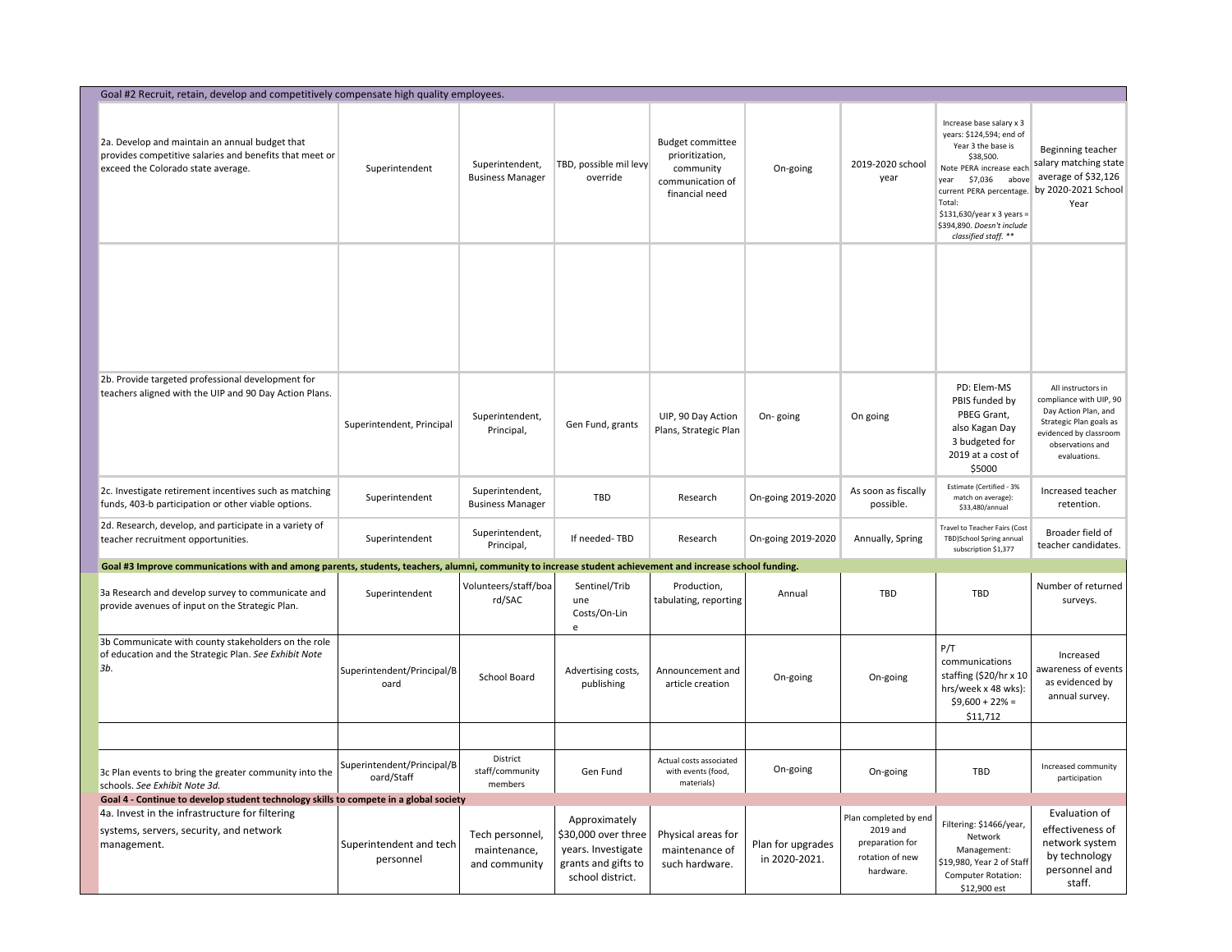| Goal #2 Recruit, retain, develop and competitively compensate high quality employees.                                                                     |                                          |                                                  |                                                                                                       |                                                                                               |                                    |                                                                                      |                                                                                                                                                                                                                                                                       |                                                                                                                                                                |  |  |
|-----------------------------------------------------------------------------------------------------------------------------------------------------------|------------------------------------------|--------------------------------------------------|-------------------------------------------------------------------------------------------------------|-----------------------------------------------------------------------------------------------|------------------------------------|--------------------------------------------------------------------------------------|-----------------------------------------------------------------------------------------------------------------------------------------------------------------------------------------------------------------------------------------------------------------------|----------------------------------------------------------------------------------------------------------------------------------------------------------------|--|--|
| 2a. Develop and maintain an annual budget that<br>provides competitive salaries and benefits that meet or<br>exceed the Colorado state average.           | Superintendent                           | Superintendent,<br><b>Business Manager</b>       | TBD, possible mil levy<br>override                                                                    | <b>Budget committee</b><br>prioritization,<br>community<br>communication of<br>financial need | On-going                           | 2019-2020 school<br>year                                                             | Increase base salary x 3<br>years: \$124,594; end of<br>Year 3 the base is<br>\$38,500.<br>Note PERA increase each<br>\$7,036 above<br>vear<br>current PERA percentage.<br>Total:<br>\$131,630/year x 3 years =<br>\$394,890. Doesn't include<br>classified staff. ** | Beginning teacher<br>salary matching state<br>average of \$32,126<br>by 2020-2021 School<br>Year                                                               |  |  |
|                                                                                                                                                           |                                          |                                                  |                                                                                                       |                                                                                               |                                    |                                                                                      |                                                                                                                                                                                                                                                                       |                                                                                                                                                                |  |  |
| 2b. Provide targeted professional development for<br>teachers aligned with the UIP and 90 Day Action Plans.                                               | Superintendent, Principal                | Superintendent,<br>Principal,                    | Gen Fund, grants                                                                                      | UIP, 90 Day Action<br>Plans, Strategic Plan                                                   | On-going                           | On going                                                                             | PD: Elem-MS<br>PBIS funded by<br>PBEG Grant,<br>also Kagan Day<br>3 budgeted for<br>2019 at a cost of<br>\$5000                                                                                                                                                       | All instructors in<br>compliance with UIP, 90<br>Day Action Plan, and<br>Strategic Plan goals as<br>evidenced by classroom<br>observations and<br>evaluations. |  |  |
| 2c. Investigate retirement incentives such as matching<br>funds, 403-b participation or other viable options.                                             | Superintendent                           | Superintendent,<br><b>Business Manager</b>       | <b>TBD</b>                                                                                            | Research                                                                                      | On-going 2019-2020                 | As soon as fiscally<br>possible.                                                     | Estimate (Certified - 3%<br>match on average):<br>\$33,480/annual                                                                                                                                                                                                     | Increased teacher<br>retention.                                                                                                                                |  |  |
| 2d. Research, develop, and participate in a variety of<br>teacher recruitment opportunities.                                                              | Superintendent                           | Superintendent,<br>Principal,                    | If needed-TBD                                                                                         | Research                                                                                      | On-going 2019-2020                 | Annually, Spring                                                                     | Travel to Teacher Fairs (Cost<br>TBD)School Spring annual<br>subscription \$1,377                                                                                                                                                                                     | Broader field of<br>teacher candidates.                                                                                                                        |  |  |
| Goal #3 Improve communications with and among parents, students, teachers, alumni, community to increase student achievement and increase school funding. |                                          |                                                  |                                                                                                       |                                                                                               |                                    |                                                                                      |                                                                                                                                                                                                                                                                       |                                                                                                                                                                |  |  |
| 3a Research and develop survey to communicate and<br>provide avenues of input on the Strategic Plan.                                                      | Superintendent                           | Volunteers/staff/boa<br>rd/SAC                   | Sentinel/Trib<br>une<br>Costs/On-Lin<br>e                                                             | Production,<br>tabulating, reporting                                                          | Annual                             | <b>TBD</b>                                                                           | <b>TBD</b>                                                                                                                                                                                                                                                            | Number of returned<br>surveys.                                                                                                                                 |  |  |
| 3b Communicate with county stakeholders on the role<br>of education and the Strategic Plan. See Exhibit Note<br>3b.                                       | Superintendent/Principal/B<br>oard       | <b>School Board</b>                              | Advertising costs,<br>publishing                                                                      | Announcement and<br>article creation                                                          | On-going                           | On-going                                                                             | P/T<br>communications<br>staffing (\$20/hr x 10<br>hrs/week x 48 wks):<br>$$9,600 + 22\% =$<br>\$11,712                                                                                                                                                               | Increased<br>awareness of events<br>as evidenced by<br>annual survey.                                                                                          |  |  |
|                                                                                                                                                           |                                          |                                                  |                                                                                                       |                                                                                               |                                    |                                                                                      |                                                                                                                                                                                                                                                                       |                                                                                                                                                                |  |  |
| 3c Plan events to bring the greater community into the<br>schools. See Exhibit Note 3d.                                                                   | Superintendent/Principal/B<br>oard/Staff | District<br>staff/community<br>members           | Gen Fund                                                                                              | Actual costs associated<br>with events (food,<br>materials)                                   | On-going                           | On-going                                                                             | <b>TBD</b>                                                                                                                                                                                                                                                            | Increased community<br>participation                                                                                                                           |  |  |
| Goal 4 - Continue to develop student technology skills to compete in a global society                                                                     |                                          |                                                  |                                                                                                       |                                                                                               |                                    |                                                                                      |                                                                                                                                                                                                                                                                       | Evaluation of                                                                                                                                                  |  |  |
| 4a. Invest in the infrastructure for filtering<br>systems, servers, security, and network<br>management.                                                  | Superintendent and tech<br>personnel     | Tech personnel,<br>maintenance,<br>and community | Approximately<br>\$30,000 over three<br>years. Investigate<br>grants and gifts to<br>school district. | Physical areas for<br>maintenance of<br>such hardware.                                        | Plan for upgrades<br>in 2020-2021. | Plan completed by end<br>2019 and<br>preparation for<br>rotation of new<br>hardware. | Filtering: \$1466/year,<br>Network<br>Management:<br>\$19,980, Year 2 of Staff<br><b>Computer Rotation:</b><br>\$12,900 est                                                                                                                                           | effectiveness of<br>network system<br>by technology<br>personnel and<br>staff.                                                                                 |  |  |